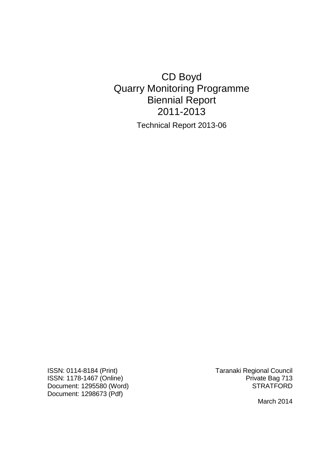# CD Boyd Quarry Monitoring Programme Biennial Report 2011-2013

Technical Report 2013-06

ISSN: 0114-8184 (Print) Taranaki Regional Council ISSN: 1178-1467 (Online)<br>Document: 1295580 (Word) Private Bag 713 Document: 1295580 (Word) Document: 1298673 (Pdf)

March 2014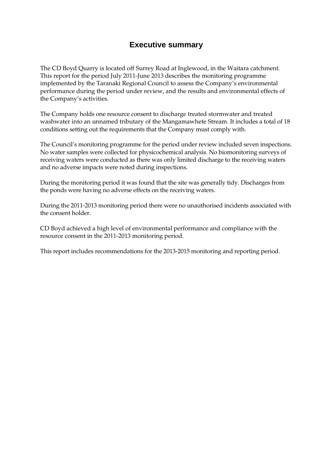## **Executive summary**

The CD Boyd Quarry is located off Surrey Road at Inglewood, in the Waitara catchment. This report for the period July 2011-June 2013 describes the monitoring programme implemented by the Taranaki Regional Council to assess the Company's environmental performance during the period under review, and the results and environmental effects of the Company's activities.

The Company holds one resource consent to discharge treated stormwater and treated washwater into an unnamed tributary of the Mangamawhete Stream. It includes a total of 18 conditions setting out the requirements that the Company must comply with.

The Council's monitoring programme for the period under review included seven inspections. No water samples were collected for physicochemical analysis. No biomonitoring surveys of receiving waters were conducted as there was only limited discharge to the receiving waters and no adverse impacts were noted during inspections.

During the monitoring period it was found that the site was generally tidy. Discharges from the ponds were having no adverse effects on the receiving waters.

During the 2011-2013 monitoring period there were no unauthorised incidents associated with the consent holder.

CD Boyd achieved a high level of environmental performance and compliance with the resource consent in the 2011-2013 monitoring period.

This report includes recommendations for the 2013-2015 monitoring and reporting period.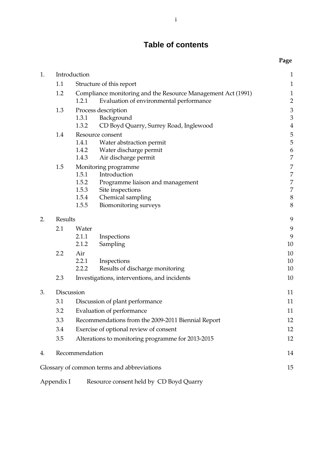## **Table of contents**

|    |                                 |                                                              |                                              | Page                             |
|----|---------------------------------|--------------------------------------------------------------|----------------------------------------------|----------------------------------|
| 1. | Introduction                    |                                                              | $\mathbf{1}$                                 |                                  |
|    | 1.1<br>Structure of this report |                                                              | $\mathbf 1$                                  |                                  |
|    | 1.2                             | Compliance monitoring and the Resource Management Act (1991) |                                              | $\mathbf{1}$                     |
|    |                                 | 1.2.1                                                        | Evaluation of environmental performance      | $\overline{c}$                   |
|    | 1.3                             |                                                              | Process description                          | $\mathfrak{Z}$                   |
|    |                                 | 1.3.1                                                        | Background                                   | $\overline{3}$                   |
|    |                                 | 1.3.2                                                        | CD Boyd Quarry, Surrey Road, Inglewood       | $\overline{4}$                   |
|    | 1.4                             |                                                              | Resource consent                             | 5                                |
|    |                                 | 1.4.1                                                        | Water abstraction permit                     | 5                                |
|    |                                 | 1.4.2                                                        | Water discharge permit                       | $\boldsymbol{6}$                 |
|    |                                 | 1.4.3                                                        | Air discharge permit                         | $\overline{7}$                   |
|    | 1.5                             | 1.5.1                                                        | Monitoring programme<br>Introduction         | $\overline{7}$<br>$\overline{7}$ |
|    |                                 | 1.5.2                                                        | Programme liaison and management             | 7                                |
|    |                                 | 1.5.3                                                        | Site inspections                             | $\overline{7}$                   |
|    |                                 | 1.5.4                                                        | Chemical sampling                            | $\, 8$                           |
|    |                                 | 1.5.5                                                        | Biomonitoring surveys                        | 8                                |
| 2. | Results                         |                                                              | 9                                            |                                  |
|    | 2.1                             | Water                                                        |                                              | 9                                |
|    |                                 | 2.1.1                                                        | Inspections                                  | 9                                |
|    |                                 | 2.1.2                                                        | Sampling                                     | 10                               |
|    | 2.2                             | Air                                                          |                                              | 10                               |
|    |                                 | 2.2.1                                                        | Inspections                                  | 10                               |
|    |                                 | 2.2.2                                                        | Results of discharge monitoring              | 10                               |
|    | 2.3                             |                                                              | Investigations, interventions, and incidents | 10                               |
| 3. | Discussion                      |                                                              |                                              | 11                               |
|    | 3.1                             |                                                              | Discussion of plant performance              | 11                               |
|    | 3.2                             | Evaluation of performance                                    |                                              | 11                               |
|    | 3.3                             | Recommendations from the 2009-2011 Biennial Report           |                                              | 12                               |
|    | 3.4                             | Exercise of optional review of consent                       |                                              | 12                               |
|    | 3.5                             | Alterations to monitoring programme for 2013-2015            |                                              | 12                               |
| 4. |                                 | Recommendation                                               |                                              | 14                               |
|    |                                 |                                                              | Glossary of common terms and abbreviations   | 15                               |
|    | Appendix I                      |                                                              | Resource consent held by CD Boyd Quarry      |                                  |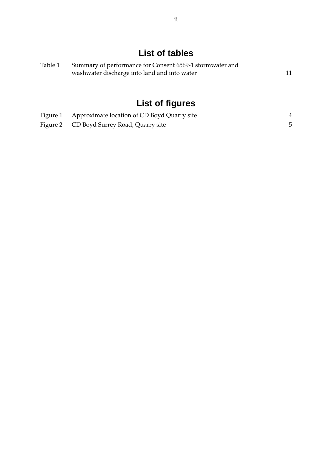# **List of tables**

| Table 1 | Summary of performance for Consent 6569-1 stormwater and |  |  |
|---------|----------------------------------------------------------|--|--|
|         | washwater discharge into land and into water             |  |  |

# **List of figures**

| Figure 1 Approximate location of CD Boyd Quarry site |  |
|------------------------------------------------------|--|
| Figure 2 CD Boyd Surrey Road, Quarry site            |  |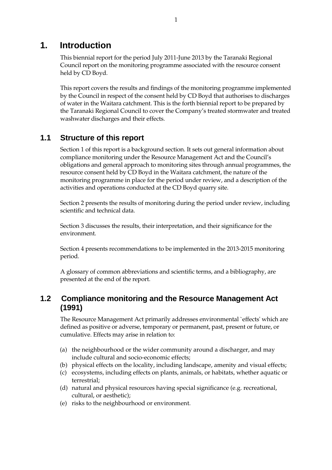## **1. Introduction**

This biennial report for the period July 2011-June 2013 by the Taranaki Regional Council report on the monitoring programme associated with the resource consent held by CD Boyd.

This report covers the results and findings of the monitoring programme implemented by the Council in respect of the consent held by CD Boyd that authorises to discharges of water in the Waitara catchment. This is the forth biennial report to be prepared by the Taranaki Regional Council to cover the Company's treated stormwater and treated washwater discharges and their effects.

## **1.1 Structure of this report**

Section 1 of this report is a background section. It sets out general information about compliance monitoring under the Resource Management Act and the Council's obligations and general approach to monitoring sites through annual programmes, the resource consent held by CD Boyd in the Waitara catchment, the nature of the monitoring programme in place for the period under review, and a description of the activities and operations conducted at the CD Boyd quarry site.

Section 2 presents the results of monitoring during the period under review, including scientific and technical data.

Section 3 discusses the results, their interpretation, and their significance for the environment.

Section 4 presents recommendations to be implemented in the 2013-2015 monitoring period.

A glossary of common abbreviations and scientific terms, and a bibliography, are presented at the end of the report.

## **1.2 Compliance monitoring and the Resource Management Act (1991)**

The Resource Management Act primarily addresses environmental `effects' which are defined as positive or adverse, temporary or permanent, past, present or future, or cumulative. Effects may arise in relation to:

- (a) the neighbourhood or the wider community around a discharger, and may include cultural and socio-economic effects;
- (b) physical effects on the locality, including landscape, amenity and visual effects;
- (c) ecosystems, including effects on plants, animals, or habitats, whether aquatic or terrestrial;
- (d) natural and physical resources having special significance (e.g. recreational, cultural, or aesthetic);
- (e) risks to the neighbourhood or environment.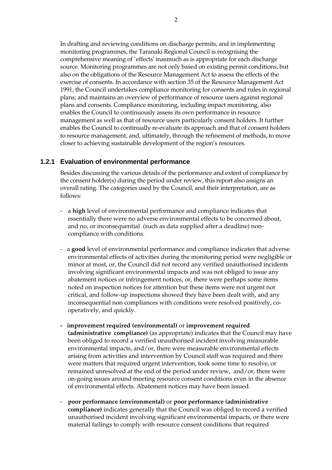In drafting and reviewing conditions on discharge permits, and in implementing monitoring programmes, the Taranaki Regional Council is recognising the comprehensive meaning of `effects' inasmuch as is appropriate for each discharge source. Monitoring programmes are not only based on existing permit conditions, but also on the obligations of the Resource Management Act to assess the effects of the exercise of consents. In accordance with section 35 of the Resource Management Act 1991, the Council undertakes compliance monitoring for consents and rules in regional plans; and maintains an overview of performance of resource users against regional plans and consents. Compliance monitoring, including impact monitoring, also enables the Council to continuously assess its own performance in resource management as well as that of resource users particularly consent holders. It further enables the Council to continually re-evaluate its approach and that of consent holders to resource management, and, ultimately, through the refinement of methods, to move closer to achieving sustainable development of the region's resources.

#### **1.2.1 Evaluation of environmental performance**

Besides discussing the various details of the performance and extent of compliance by the consent holder(s) during the period under review, this report also assigns an overall rating. The categories used by the Council, and their interpretation, are as follows:

- a **high** level of environmental performance and compliance indicates that essentially there were no adverse environmental effects to be concerned about, and no, or inconsequential (such as data supplied after a deadline) noncompliance with conditions.
- a **good** level of environmental performance and compliance indicates that adverse environmental effects of activities during the monitoring period were negligible or minor at most, or, the Council did not record any verified unauthorised incidents involving significant environmental impacts and was not obliged to issue any abatement notices or infringement notices, or, there were perhaps some items noted on inspection notices for attention but these items were not urgent nor critical, and follow-up inspections showed they have been dealt with, and any inconsequential non compliances with conditions were resolved positively, cooperatively, and quickly.
- **improvement required (environmental)** or **improvement required (administrative compliance)** (as appropriate) indicates that the Council may have been obliged to record a verified unauthorised incident involving measurable environmental impacts, and/or, there were measurable environmental effects arising from activities and intervention by Council staff was required and there were matters that required urgent intervention, took some time to resolve, or remained unresolved at the end of the period under review, and/or, there were on-going issues around meeting resource consent conditions even in the absence of environmental effects. Abatement notices may have been issued.
- **poor performance (environmental)** or **poor performance (administrative compliance)** indicates generally that the Council was obliged to record a verified unauthorised incident involving significant environmental impacts, or there were material failings to comply with resource consent conditions that required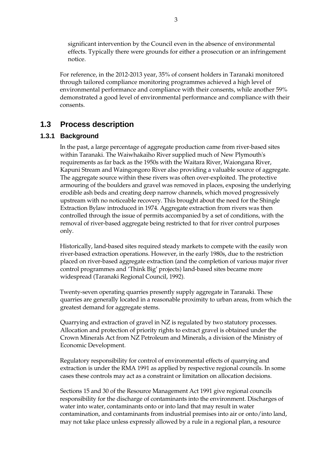significant intervention by the Council even in the absence of environmental effects. Typically there were grounds for either a prosecution or an infringement notice.

For reference, in the 2012-2013 year, 35% of consent holders in Taranaki monitored through tailored compliance monitoring programmes achieved a high level of environmental performance and compliance with their consents, while another 59% demonstrated a good level of environmental performance and compliance with their consents.

## **1.3 Process description**

#### **1.3.1 Background**

 In the past, a large percentage of aggregate production came from river-based sites within Taranaki. The Waiwhakaiho River supplied much of New Plymouth's requirements as far back as the 1950s with the Waitara River, Waiongana River, Kapuni Stream and Waingongoro River also providing a valuable source of aggregate. The aggregate source within these rivers was often over-exploited. The protective armouring of the boulders and gravel was removed in places, exposing the underlying erodible ash beds and creating deep narrow channels, which moved progressively upstream with no noticeable recovery. This brought about the need for the Shingle Extraction Bylaw introduced in 1974. Aggregate extraction from rivers was then controlled through the issue of permits accompanied by a set of conditions, with the removal of river-based aggregate being restricted to that for river control purposes only.

 Historically, land-based sites required steady markets to compete with the easily won river-based extraction operations. However, in the early 1980s, due to the restriction placed on river-based aggregate extraction (and the completion of various major river control programmes and 'Think Big' projects) land-based sites became more widespread (Taranaki Regional Council, 1992).

 Twenty-seven operating quarries presently supply aggregate in Taranaki. These quarries are generally located in a reasonable proximity to urban areas, from which the greatest demand for aggregate stems.

 Quarrying and extraction of gravel in NZ is regulated by two statutory processes. Allocation and protection of priority rights to extract gravel is obtained under the Crown Minerals Act from NZ Petroleum and Minerals, a division of the Ministry of Economic Development.

Regulatory responsibility for control of environmental effects of quarrying and extraction is under the RMA 1991 as applied by respective regional councils. In some cases these controls may act as a constraint or limitation on allocation decisions.

 Sections 15 and 30 of the Resource Management Act 1991 give regional councils responsibility for the discharge of contaminants into the environment. Discharges of water into water, contaminants onto or into land that may result in water contamination, and contaminants from industrial premises into air or onto/into land, may not take place unless expressly allowed by a rule in a regional plan, a resource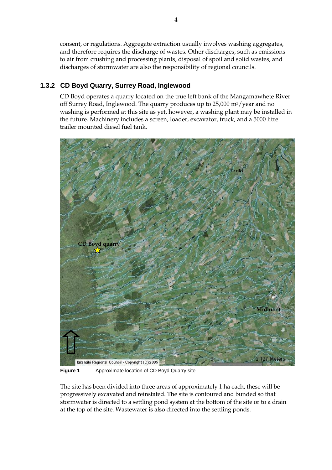consent, or regulations. Aggregate extraction usually involves washing aggregates, and therefore requires the discharge of wastes. Other discharges, such as emissions to air from crushing and processing plants, disposal of spoil and solid wastes, and discharges of stormwater are also the responsibility of regional councils.

## **1.3.2 CD Boyd Quarry, Surrey Road, Inglewood**

CD Boyd operates a quarry located on the true left bank of the Mangamawhete River off Surrey Road, Inglewood. The quarry produces up to 25,000 m3/year and no washing is performed at this site as yet, however, a washing plant may be installed in the future. Machinery includes a screen, loader, excavator, truck, and a 5000 litre trailer mounted diesel fuel tank.



**Figure 1** Approximate location of CD Boyd Quarry site

The site has been divided into three areas of approximately 1 ha each, these will be progressively excavated and reinstated. The site is contoured and bunded so that stormwater is directed to a settling pond system at the bottom of the site or to a drain at the top of the site. Wastewater is also directed into the settling ponds.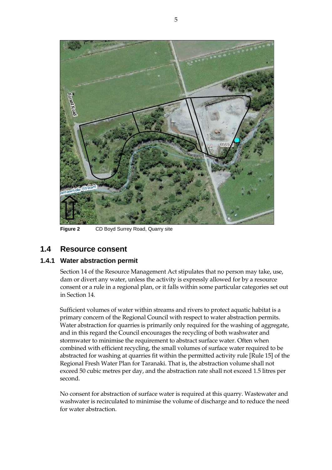

**Figure 2** CD Boyd Surrey Road, Quarry site

## **1.4 Resource consent**

#### **1.4.1 Water abstraction permit**

Section 14 of the Resource Management Act stipulates that no person may take, use, dam or divert any water, unless the activity is expressly allowed for by a resource consent or a rule in a regional plan, or it falls within some particular categories set out in Section 14.

Sufficient volumes of water within streams and rivers to protect aquatic habitat is a primary concern of the Regional Council with respect to water abstraction permits. Water abstraction for quarries is primarily only required for the washing of aggregate, and in this regard the Council encourages the recycling of both washwater and stormwater to minimise the requirement to abstract surface water. Often when combined with efficient recycling, the small volumes of surface water required to be abstracted for washing at quarries fit within the permitted activity rule [Rule 15] of the Regional Fresh Water Plan for Taranaki. That is, the abstraction volume shall not exceed 50 cubic metres per day, and the abstraction rate shall not exceed 1.5 litres per second.

No consent for abstraction of surface water is required at this quarry. Wastewater and washwater is recirculated to minimise the volume of discharge and to reduce the need for water abstraction.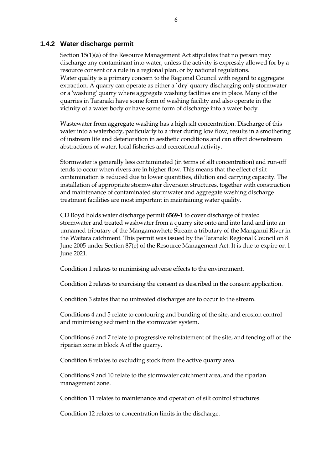#### **1.4.2 Water discharge permit**

Section 15(1)(a) of the Resource Management Act stipulates that no person may discharge any contaminant into water, unless the activity is expressly allowed for by a resource consent or a rule in a regional plan, or by national regulations. Water quality is a primary concern to the Regional Council with regard to aggregate extraction. A quarry can operate as either a `dry' quarry discharging only stormwater or a 'washing' quarry where aggregate washing facilities are in place. Many of the quarries in Taranaki have some form of washing facility and also operate in the vicinity of a water body or have some form of discharge into a water body.

 Wastewater from aggregate washing has a high silt concentration. Discharge of this water into a waterbody, particularly to a river during low flow, results in a smothering of instream life and deterioration in aesthetic conditions and can affect downstream abstractions of water, local fisheries and recreational activity.

Stormwater is generally less contaminated (in terms of silt concentration) and run-off tends to occur when rivers are in higher flow. This means that the effect of silt contamination is reduced due to lower quantities, dilution and carrying capacity. The installation of appropriate stormwater diversion structures, together with construction and maintenance of contaminated stormwater and aggregate washing discharge treatment facilities are most important in maintaining water quality.

CD Boyd holds water discharge permit **6569-1** to cover discharge of treated stormwater and treated washwater from a quarry site onto and into land and into an unnamed tributary of the Mangamawhete Stream a tributary of the Manganui River in the Waitara catchment*.* This permit was issued by the Taranaki Regional Council on 8 June 2005 under Section 87(e) of the Resource Management Act. It is due to expire on 1 June 2021.

Condition 1 relates to minimising adverse effects to the environment.

Condition 2 relates to exercising the consent as described in the consent application.

Condition 3 states that no untreated discharges are to occur to the stream.

Conditions 4 and 5 relate to contouring and bunding of the site, and erosion control and minimising sediment in the stormwater system.

Conditions 6 and 7 relate to progressive reinstatement of the site, and fencing off of the riparian zone in block A of the quarry.

Condition 8 relates to excluding stock from the active quarry area.

Conditions 9 and 10 relate to the stormwater catchment area, and the riparian management zone.

Condition 11 relates to maintenance and operation of silt control structures.

Condition 12 relates to concentration limits in the discharge.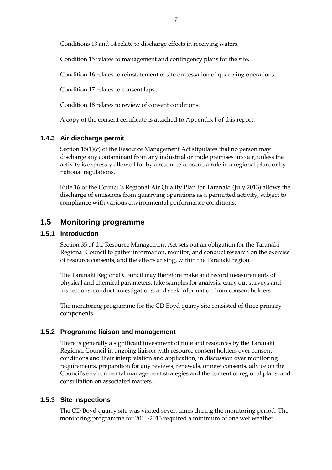Conditions 13 and 14 relate to discharge effects in receiving waters.

Condition 15 relates to management and contingency plans for the site.

Condition 16 relates to reinstatement of site on cessation of quarrying operations.

Condition 17 relates to consent lapse.

Condition 18 relates to review of consent conditions.

A copy of the consent certificate is attached to Appendix I of this report.

#### **1.4.3 Air discharge permit**

Section 15(1)(c) of the Resource Management Act stipulates that no person may discharge any contaminant from any industrial or trade premises into air, unless the activity is expressly allowed for by a resource consent, a rule in a regional plan, or by national regulations.

Rule 16 of the Council's Regional Air Quality Plan for Taranaki (July 2013) allows the discharge of emissions from quarrying operations as a permitted activity, subject to compliance with various environmental performance conditions.

## **1.5 Monitoring programme**

#### **1.5.1 Introduction**

Section 35 of the Resource Management Act sets out an obligation for the Taranaki Regional Council to gather information, monitor, and conduct research on the exercise of resource consents, and the effects arising, within the Taranaki region.

The Taranaki Regional Council may therefore make and record measurements of physical and chemical parameters, take samples for analysis, carry out surveys and inspections, conduct investigations, and seek information from consent holders.

The monitoring programme for the CD Boyd quarry site consisted of three primary components.

#### **1.5.2 Programme liaison and management**

There is generally a significant investment of time and resources by the Taranaki Regional Council in ongoing liaison with resource consent holders over consent conditions and their interpretation and application, in discussion over monitoring requirements, preparation for any reviews, renewals, or new consents, advice on the Council's environmental management strategies and the content of regional plans, and consultation on associated matters.

#### **1.5.3 Site inspections**

The CD Boyd quarry site was visited seven times during the monitoring period. The monitoring programme for 2011-2013 required a minimum of one wet weather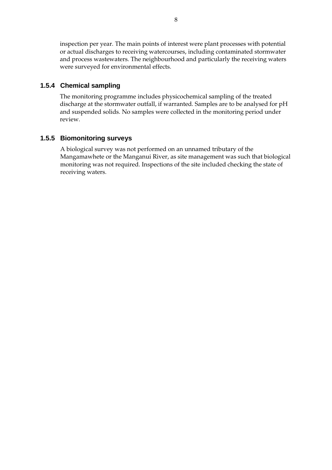inspection per year. The main points of interest were plant processes with potential or actual discharges to receiving watercourses, including contaminated stormwater and process wastewaters. The neighbourhood and particularly the receiving waters were surveyed for environmental effects.

#### **1.5.4 Chemical sampling**

The monitoring programme includes physicochemical sampling of the treated discharge at the stormwater outfall, if warranted. Samples are to be analysed for pH and suspended solids. No samples were collected in the monitoring period under review.

#### **1.5.5 Biomonitoring surveys**

A biological survey was not performed on an unnamed tributary of the Mangamawhete or the Manganui River, as site management was such that biological monitoring was not required. Inspections of the site included checking the state of receiving waters.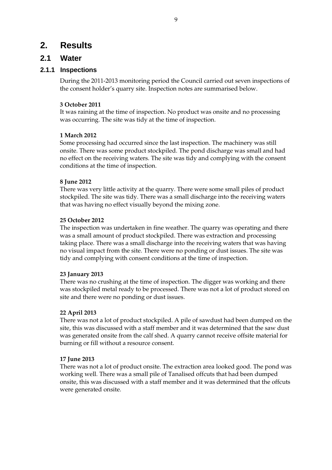## **2. Results**

## **2.1 Water**

#### **2.1.1 Inspections**

During the 2011-2013 monitoring period the Council carried out seven inspections of the consent holder's quarry site. Inspection notes are summarised below.

#### **3 October 2011**

It was raining at the time of inspection. No product was onsite and no processing was occurring. The site was tidy at the time of inspection.

#### **1 March 2012**

Some processing had occurred since the last inspection. The machinery was still onsite. There was some product stockpiled. The pond discharge was small and had no effect on the receiving waters. The site was tidy and complying with the consent conditions at the time of inspection.

#### **8 June 2012**

There was very little activity at the quarry. There were some small piles of product stockpiled. The site was tidy. There was a small discharge into the receiving waters that was having no effect visually beyond the mixing zone.

#### **25 October 2012**

The inspection was undertaken in fine weather. The quarry was operating and there was a small amount of product stockpiled. There was extraction and processing taking place. There was a small discharge into the receiving waters that was having no visual impact from the site. There were no ponding or dust issues. The site was tidy and complying with consent conditions at the time of inspection.

#### **23 January 2013**

There was no crushing at the time of inspection. The digger was working and there was stockpiled metal ready to be processed. There was not a lot of product stored on site and there were no ponding or dust issues.

#### **22 April 2013**

There was not a lot of product stockpiled. A pile of sawdust had been dumped on the site, this was discussed with a staff member and it was determined that the saw dust was generated onsite from the calf shed. A quarry cannot receive offsite material for burning or fill without a resource consent.

#### **17 June 2013**

There was not a lot of product onsite. The extraction area looked good. The pond was working well. There was a small pile of Tanalised offcuts that had been dumped onsite, this was discussed with a staff member and it was determined that the offcuts were generated onsite.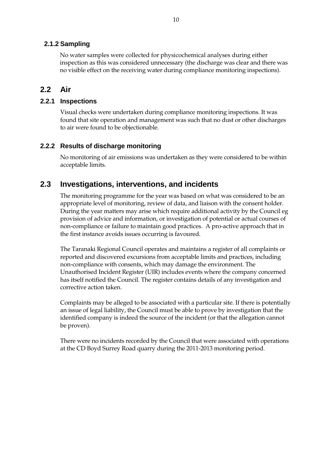#### **2.1.2 Sampling**

No water samples were collected for physicochemical analyses during either inspection as this was considered unnecessary (the discharge was clear and there was no visible effect on the receiving water during compliance monitoring inspections).

## **2.2 Air**

#### **2.2.1 Inspections**

Visual checks were undertaken during compliance monitoring inspections. It was found that site operation and management was such that no dust or other discharges to air were found to be objectionable.

#### **2.2.2 Results of discharge monitoring**

No monitoring of air emissions was undertaken as they were considered to be within acceptable limits.

## **2.3 Investigations, interventions, and incidents**

The monitoring programme for the year was based on what was considered to be an appropriate level of monitoring, review of data, and liaison with the consent holder. During the year matters may arise which require additional activity by the Council eg provision of advice and information, or investigation of potential or actual courses of non-compliance or failure to maintain good practices. A pro-active approach that in the first instance avoids issues occurring is favoured.

The Taranaki Regional Council operates and maintains a register of all complaints or reported and discovered excursions from acceptable limits and practices, including non-compliance with consents, which may damage the environment. The Unauthorised Incident Register (UIR) includes events where the company concerned has itself notified the Council. The register contains details of any investigation and corrective action taken.

Complaints may be alleged to be associated with a particular site. If there is potentially an issue of legal liability, the Council must be able to prove by investigation that the identified company is indeed the source of the incident (or that the allegation cannot be proven).

There were no incidents recorded by the Council that were associated with operations at the CD Boyd Surrey Road quarry during the 2011-2013 monitoring period.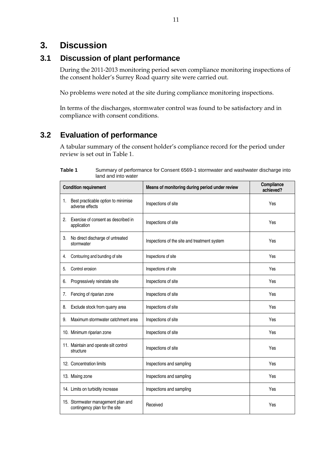## **3. Discussion**

## **3.1 Discussion of plant performance**

During the 2011-2013 monitoring period seven compliance monitoring inspections of the consent holder's Surrey Road quarry site were carried out.

No problems were noted at the site during compliance monitoring inspections.

In terms of the discharges, stormwater control was found to be satisfactory and in compliance with consent conditions.

## **3.2 Evaluation of performance**

A tabular summary of the consent holder's compliance record for the period under review is set out in Table 1.

| <b>Condition requirement</b> |                                                                     | Means of monitoring during period under review | Compliance<br>achieved? |
|------------------------------|---------------------------------------------------------------------|------------------------------------------------|-------------------------|
| 1.                           | Best practicable option to minimise<br>adverse effects              | Inspections of site                            | Yes                     |
| 2.                           | Exercise of consent as described in<br>application                  | Inspections of site                            | Yes                     |
| 3.                           | No direct discharge of untreated<br>stormwater                      | Inspections of the site and treatment system   | Yes                     |
| 4.                           | Contouring and bunding of site                                      | Inspections of site                            | Yes                     |
| 5.                           | Control erosion                                                     | Inspections of site                            | Yes                     |
| 6.                           | Progressively reinstate site                                        | Inspections of site                            | Yes                     |
| 7.                           | Fencing of riparian zone                                            | Inspections of site                            | Yes                     |
| 8.                           | Exclude stock from quarry area                                      | Inspections of site                            | Yes                     |
| 9.                           | Maximum stormwater catchment area                                   | Inspections of site                            | Yes                     |
|                              | 10. Minimum riparian zone                                           | Inspections of site                            | Yes                     |
|                              | 11. Maintain and operate silt control<br>structure                  | Inspections of site                            | Yes                     |
|                              | 12. Concentration limits                                            | Inspections and sampling                       | Yes                     |
|                              | 13. Mixing zone                                                     | Inspections and sampling                       | Yes                     |
|                              | 14. Limits on turbidity increase                                    | Inspections and sampling                       | Yes                     |
|                              | 15. Stormwater management plan and<br>contingency plan for the site | Received                                       | Yes                     |

**Table 1** Summary of performance for Consent 6569-1 stormwater and washwater discharge into land and into water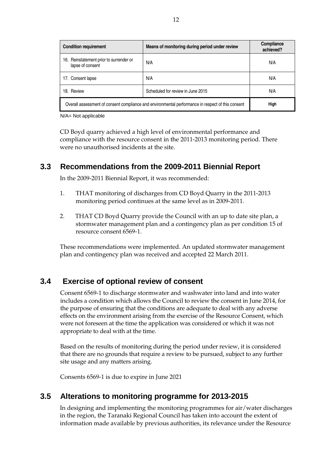| <b>Condition requirement</b>                                                                      | Means of monitoring during period under review | Compliance<br>achieved? |
|---------------------------------------------------------------------------------------------------|------------------------------------------------|-------------------------|
| 16. Reinstatement prior to surrender or<br>lapse of consent                                       | N/A                                            | N/A                     |
| 17. Consent lapse                                                                                 | N/A                                            | N/A                     |
| 18. Review                                                                                        | Scheduled for review in June 2015              | N/A                     |
| Overall assessment of consent compliance and environmental performance in respect of this consent | High                                           |                         |

N/A= Not applicable

CD Boyd quarry achieved a high level of environmental performance and compliance with the resource consent in the 2011-2013 monitoring period. There were no unauthorised incidents at the site.

## **3.3 Recommendations from the 2009-2011 Biennial Report**

In the 2009-2011 Biennial Report, it was recommended:

- 1. THAT monitoring of discharges from CD Boyd Quarry in the 2011-2013 monitoring period continues at the same level as in 2009-2011.
- 2. THAT CD Boyd Quarry provide the Council with an up to date site plan, a stormwater management plan and a contingency plan as per condition 15 of resource consent 6569-1.

These recommendations were implemented. An updated stormwater management plan and contingency plan was received and accepted 22 March 2011.

## **3.4 Exercise of optional review of consent**

Consent 6569-1 to discharge stormwater and washwater into land and into water includes a condition which allows the Council to review the consent in June 2014, for the purpose of ensuring that the conditions are adequate to deal with any adverse effects on the environment arising from the exercise of the Resource Consent, which were not foreseen at the time the application was considered or which it was not appropriate to deal with at the time.

Based on the results of monitoring during the period under review, it is considered that there are no grounds that require a review to be pursued, subject to any further site usage and any matters arising.

Consents 6569-1 is due to expire in June 2021

## **3.5 Alterations to monitoring programme for 2013-2015**

In designing and implementing the monitoring programmes for air/water discharges in the region, the Taranaki Regional Council has taken into account the extent of information made available by previous authorities, its relevance under the Resource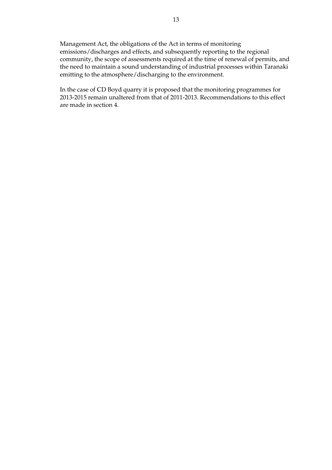Management Act, the obligations of the Act in terms of monitoring emissions/discharges and effects, and subsequently reporting to the regional community, the scope of assessments required at the time of renewal of permits, and the need to maintain a sound understanding of industrial processes within Taranaki emitting to the atmosphere/discharging to the environment.

In the case of CD Boyd quarry it is proposed that the monitoring programmes for 2013-2015 remain unaltered from that of 2011-2013. Recommendations to this effect are made in section 4.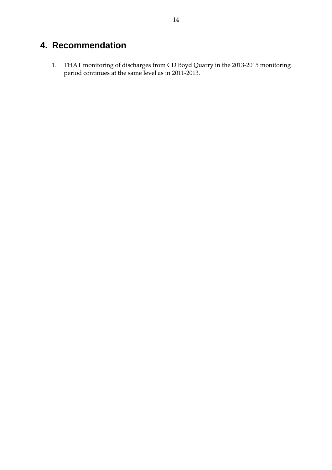# **4. Recommendation**

1. THAT monitoring of discharges from CD Boyd Quarry in the 2013-2015 monitoring period continues at the same level as in 2011-2013.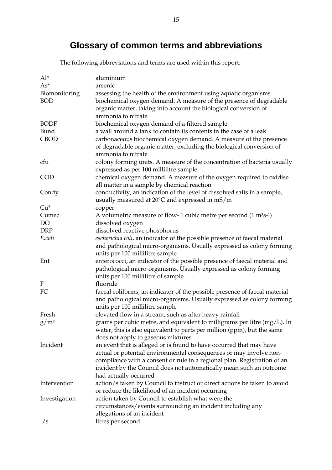# **Glossary of common terms and abbreviations**

The following abbreviations and terms are used within this report:

| $Al^*$        | aluminium                                                                                                 |
|---------------|-----------------------------------------------------------------------------------------------------------|
| $As*$         | arsenic                                                                                                   |
| Biomonitoring | assessing the health of the environment using aquatic organisms                                           |
| <b>BOD</b>    | biochemical oxygen demand. A measure of the presence of degradable                                        |
|               | organic matter, taking into account the biological conversion of                                          |
|               | ammonia to nitrate                                                                                        |
| <b>BODF</b>   | biochemical oxygen demand of a filtered sample                                                            |
| Bund          | a wall around a tank to contain its contents in the case of a leak                                        |
| <b>CBOD</b>   | carbonaceous biochemical oxygen demand. A measure of the presence                                         |
|               | of degradable organic matter, excluding the biological conversion of                                      |
|               | ammonia to nitrate                                                                                        |
| cfu           | colony forming units. A measure of the concentration of bacteria usually                                  |
|               | expressed as per 100 millilitre sample                                                                    |
| <b>COD</b>    | chemical oxygen demand. A measure of the oxygen required to oxidise                                       |
|               | all matter in a sample by chemical reaction                                                               |
| Condy         | conductivity, an indication of the level of dissolved salts in a sample,                                  |
|               | usually measured at 20°C and expressed in mS/m                                                            |
| $Cu*$         | copper                                                                                                    |
| Cumec         | A volumetric measure of flow- 1 cubic metre per second $(1 \text{ m}^3 \text{s}^{-1})$                    |
| <b>DO</b>     | dissolved oxygen                                                                                          |
| <b>DRP</b>    | dissolved reactive phosphorus                                                                             |
| E.coli        | escherichia coli, an indicator of the possible presence of faecal material                                |
|               | and pathological micro-organisms. Usually expressed as colony forming                                     |
|               | units per 100 millilitre sample                                                                           |
| Ent           | enterococci, an indicator of the possible presence of faecal material and                                 |
|               | pathological micro-organisms. Usually expressed as colony forming                                         |
|               | units per 100 millilitre of sample                                                                        |
| F             | fluoride                                                                                                  |
| FC            | faecal coliforms, an indicator of the possible presence of faecal material                                |
|               | and pathological micro-organisms. Usually expressed as colony forming                                     |
|               | units per 100 millilitre sample                                                                           |
| Fresh         | elevated flow in a stream, such as after heavy rainfall                                                   |
| $\rm g/m^3$   | grams per cubic metre, and equivalent to milligrams per litre $(mg/L)$ . In                               |
|               | water, this is also equivalent to parts per million (ppm), but the same                                   |
| Incident      | does not apply to gaseous mixtures<br>an event that is alleged or is found to have occurred that may have |
|               | actual or potential environmental consequences or may involve non-                                        |
|               | compliance with a consent or rule in a regional plan. Registration of an                                  |
|               | incident by the Council does not automatically mean such an outcome                                       |
|               | had actually occurred                                                                                     |
| Intervention  | action/s taken by Council to instruct or direct actions be taken to avoid                                 |
|               | or reduce the likelihood of an incident occurring                                                         |
| Investigation | action taken by Council to establish what were the                                                        |
|               | circumstances/events surrounding an incident including any                                                |
|               | allegations of an incident                                                                                |
| 1/s           | litres per second                                                                                         |
|               |                                                                                                           |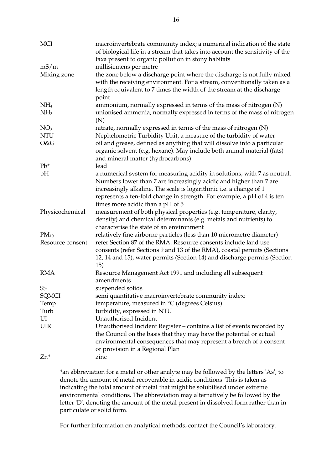| MCI              | macroinvertebrate community index; a numerical indication of the state<br>of biological life in a stream that takes into account the sensitivity of the<br>taxa present to organic pollution in stony habitats                                                                                                                       |
|------------------|--------------------------------------------------------------------------------------------------------------------------------------------------------------------------------------------------------------------------------------------------------------------------------------------------------------------------------------|
| mS/m             | millisiemens per metre                                                                                                                                                                                                                                                                                                               |
| Mixing zone      | the zone below a discharge point where the discharge is not fully mixed<br>with the receiving environment. For a stream, conventionally taken as a<br>length equivalent to 7 times the width of the stream at the discharge<br>point                                                                                                 |
| NH <sub>4</sub>  | ammonium, normally expressed in terms of the mass of nitrogen (N)                                                                                                                                                                                                                                                                    |
| NH <sub>3</sub>  | unionised ammonia, normally expressed in terms of the mass of nitrogen<br>(N)                                                                                                                                                                                                                                                        |
| NO <sub>3</sub>  | nitrate, normally expressed in terms of the mass of nitrogen (N)                                                                                                                                                                                                                                                                     |
| <b>NTU</b>       | Nephelometric Turbidity Unit, a measure of the turbidity of water                                                                                                                                                                                                                                                                    |
| O&G              | oil and grease, defined as anything that will dissolve into a particular<br>organic solvent (e.g. hexane). May include both animal material (fats)<br>and mineral matter (hydrocarbons)                                                                                                                                              |
| $Pb^*$           | lead                                                                                                                                                                                                                                                                                                                                 |
| pH               | a numerical system for measuring acidity in solutions, with 7 as neutral.<br>Numbers lower than 7 are increasingly acidic and higher than 7 are<br>increasingly alkaline. The scale is logarithmic i.e. a change of 1<br>represents a ten-fold change in strength. For example, a pH of 4 is ten<br>times more acidic than a pH of 5 |
| Physicochemical  | measurement of both physical properties (e.g. temperature, clarity,<br>density) and chemical determinants (e.g. metals and nutrients) to                                                                                                                                                                                             |
|                  | characterise the state of an environment                                                                                                                                                                                                                                                                                             |
| $PM_{10}$        | relatively fine airborne particles (less than 10 micrometre diameter)                                                                                                                                                                                                                                                                |
| Resource consent | refer Section 87 of the RMA. Resource consents include land use<br>consents (refer Sections 9 and 13 of the RMA), coastal permits (Sections<br>12, 14 and 15), water permits (Section 14) and discharge permits (Section<br>15)                                                                                                      |
| <b>RMA</b>       | Resource Management Act 1991 and including all subsequent<br>amendments                                                                                                                                                                                                                                                              |
| SS               | suspended solids                                                                                                                                                                                                                                                                                                                     |
| SQMCI            | semi quantitative macroinvertebrate community index;                                                                                                                                                                                                                                                                                 |
| Temp             | temperature, measured in °C (degrees Celsius)                                                                                                                                                                                                                                                                                        |
| Turb             | turbidity, expressed in NTU                                                                                                                                                                                                                                                                                                          |
| UI               | Unauthorised Incident                                                                                                                                                                                                                                                                                                                |
| <b>UIR</b>       | Unauthorised Incident Register – contains a list of events recorded by<br>the Council on the basis that they may have the potential or actual<br>environmental consequences that may represent a breach of a consent<br>or provision in a Regional Plan                                                                              |
| Zn*              | zinc                                                                                                                                                                                                                                                                                                                                 |

\*an abbreviation for a metal or other analyte may be followed by the letters 'As', to denote the amount of metal recoverable in acidic conditions. This is taken as indicating the total amount of metal that might be solubilised under extreme environmental conditions. The abbreviation may alternatively be followed by the letter 'D', denoting the amount of the metal present in dissolved form rather than in particulate or solid form.

For further information on analytical methods, contact the Council's laboratory.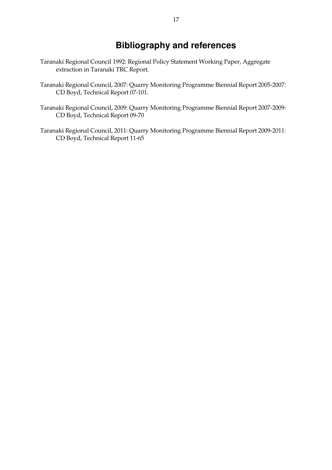## **Bibliography and references**

- Taranaki Regional Council 1992: Regional Policy Statement Working Paper, Aggregate extraction in Taranaki TRC Report.
- Taranaki Regional Council, 2007: Quarry Monitoring Programme Biennial Report 2005-2007: CD Boyd, Technical Report 07-101.
- Taranaki Regional Council, 2009: Quarry Monitoring Programme Biennial Report 2007-2009: CD Boyd, Technical Report 09-70
- Taranaki Regional Council, 2011: Quarry Monitoring Programme Biennial Report 2009-2011: CD Boyd, Technical Report 11-65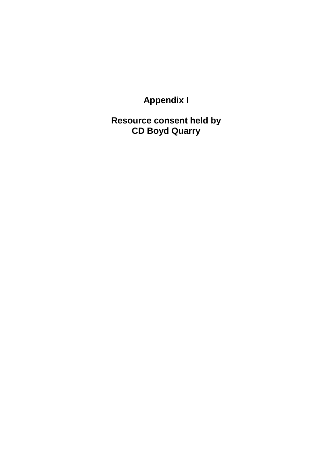**Appendix I** 

**Resource consent held by CD Boyd Quarry**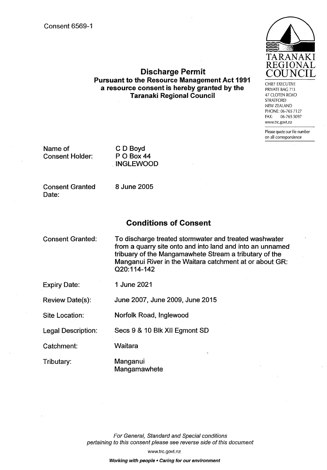

CHIFF EXECUTIVE PRIVATE BAG 713 47 CLOTEN ROAD **STRATFORD** NEW ZEALAND PHONE: 06-765 7127 FAX: 06-765 5097 www.trc.govt.nz

Please quote our file number on all correspondence

Name of **Consent Holder:** 

C D Boyd P O Box 44 **INGLEWOOD** 

**Consent Granted** Date:

8 June 2005

### **Conditions of Consent**

**Discharge Permit** 

**Pursuant to the Resource Management Act 1991** 

a resource consent is hereby granted by the

**Taranaki Regional Council** 

**Consent Granted:** 

To discharge treated stormwater and treated washwater from a quarry site onto and into land and into an unnamed tribuary of the Mangamawhete Stream a tributary of the Manganui River in the Waitara catchment at or about GR: Q20:114-142

**Expiry Date:** 

1 June 2021

Review Date(s): June 2007, June 2009, June 2015

Site Location:

Legal Description: Secs 9 & 10 Blk XII Egmont SD

Norfolk Road, Inglewood

Catchment:

Waitara

Tributary:

Manganui Mangamawhete

For General, Standard and Special conditions pertaining to this consent please see reverse side of this document

www.trc.govt.nz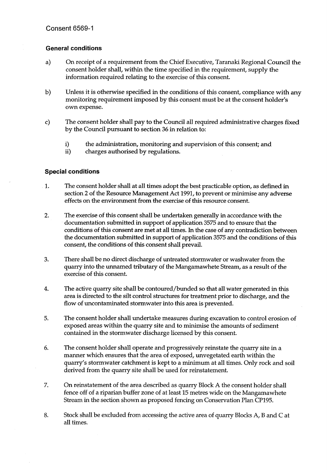#### **General conditions**

- On receipt of a requirement from the Chief Executive, Taranaki Regional Council the  $a)$ consent holder shall, within the time specified in the requirement, supply the information required relating to the exercise of this consent.
- b) Unless it is otherwise specified in the conditions of this consent, compliance with any monitoring requirement imposed by this consent must be at the consent holder's own expense.
- The consent holder shall pay to the Council all required administrative charges fixed c) by the Council pursuant to section 36 in relation to:
	- $i)$ the administration, monitoring and supervision of this consent; and
	- $ii)$ charges authorised by regulations.

#### **Special conditions**

- The consent holder shall at all times adopt the best practicable option, as defined in 1. section 2 of the Resource Management Act 1991, to prevent or minimise any adverse effects on the environment from the exercise of this resource consent.
- $2.$ The exercise of this consent shall be undertaken generally in accordance with the documentation submitted in support of application 3575 and to ensure that the conditions of this consent are met at all times. In the case of any contradiction between the documentation submitted in support of application 3575 and the conditions of this consent, the conditions of this consent shall prevail.
- 3. There shall be no direct discharge of untreated stormwater or washwater from the quarry into the unnamed tributary of the Mangamawhete Stream, as a result of the exercise of this consent.
- $4.$ The active quarry site shall be contoured/bunded so that all water generated in this area is directed to the silt control structures for treatment prior to discharge, and the flow of uncontaminated stormwater into this area is prevented.
- The consent holder shall undertake measures during excavation to control erosion of 5. exposed areas within the quarry site and to minimise the amounts of sediment contained in the stormwater discharge licensed by this consent.
- 6. The consent holder shall operate and progressively reinstate the quarry site in a manner which ensures that the area of exposed, unvegetated earth within the quarry's stormwater catchment is kept to a minimum at all times. Only rock and soil derived from the quarry site shall be used for reinstatement.
- 7. On reinstatement of the area described as quarry Block A the consent holder shall fence off of a riparian buffer zone of at least 15 metres wide on the Mangamawhete Stream in the section shown as proposed fencing on Conservation Plan CP195.
- 8. Stock shall be excluded from accessing the active area of quarry Blocks A, B and C at all times.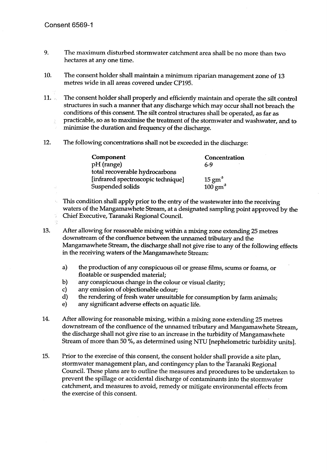- 9. The maximum disturbed stormwater catchment area shall be no more than two hectares at any one time.
- 10. The consent holder shall maintain a minimum riparian management zone of 13 metres wide in all areas covered under CP195.
- The consent holder shall properly and efficiently maintain and operate the silt control  $11.$ structures in such a manner that any discharge which may occur shall not breach the conditions of this consent. The silt control structures shall be operated, as far as practicable, so as to maximise the treatment of the stormwater and washwater, and to  $\widetilde{g}^{\prime}$ minimise the duration and frequency of the discharge.
- 12. The following concentrations shall not be exceeded in the discharge:

| <b>Component</b>                   | Concentration      |
|------------------------------------|--------------------|
| pH (range)                         | 6-9                |
| total recoverable hydrocarbons     |                    |
| [infrared spectroscopic technique] | $15 \text{ gm}^3$  |
| Suspended solids                   | $100 \text{ gm}^3$ |

This condition shall apply prior to the entry of the wastewater into the receiving  $\lambda_{\rm L}$ waters of the Mangamawhete Stream, at a designated sampling point approved by the  $\frac{\partial \mathcal{L}}{\partial \mathcal{L}}$ Chief Executive, Taranaki Regional Council.

13.

After allowing for reasonable mixing within a mixing zone extending 25 metres downstream of the confluence between the unnamed tributary and the Mangamawhete Stream, the discharge shall not give rise to any of the following effects in the receiving waters of the Mangamawhete Stream:

- a) the production of any conspicuous oil or grease films, scums or foams, or floatable or suspended material;
- b) any conspicuous change in the colour or visual clarity;
- any emission of objectionable odour; c).
- d) the rendering of fresh water unsuitable for consumption by farm animals;

e) any significant adverse effects on aquatic life.

- 14. After allowing for reasonable mixing, within a mixing zone extending 25 metres downstream of the confluence of the unnamed tributary and Mangamawhete Stream, the discharge shall not give rise to an increase in the turbidity of Mangamawhete Stream of more than 50 %, as determined using NTU [nephelometric turbidity units].
- Prior to the exercise of this consent, the consent holder shall provide a site plan, 15. stormwater management plan, and contingency plan to the Taranaki Regional Council. These plans are to outline the measures and procedures to be undertaken to prevent the spillage or accidental discharge of contaminants into the stormwater catchment, and measures to avoid, remedy or mitigate environmental effects from the exercise of this consent.